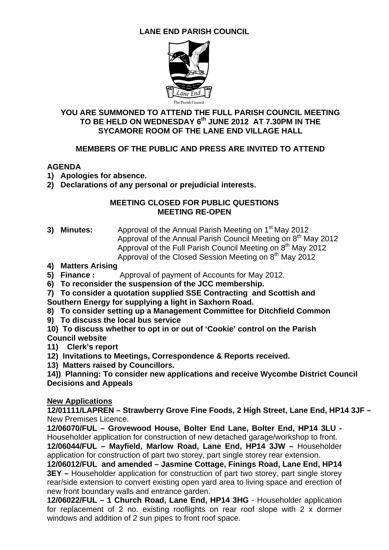## **LANE END PARISH COUNCIL**



#### **YOU ARE SUMMONED TO ATTEND THE FULL PARISH COUNCIL MEETING**  TO BE HELD ON WEDNESDAY 6<sup>th</sup> JUNE 2012 AT 7.30PM IN THE **SYCAMORE ROOM OF THE LANE END VILLAGE HALL**

### **MEMBERS OF THE PUBLIC AND PRESS ARE INVITED TO ATTEND**

#### **AGENDA**

- **1) Apologies for absence.**
- **2) Declarations of any personal or prejudicial interests.**

#### **MEETING CLOSED FOR PUBLIC QUESTIONS MEETING RE-OPEN**

- **3) Minutes:** Approval of the Annual Parish Meeting on 1<sup>st</sup> May 2012 Approval of the Annual Parish Council Meeting on  $8<sup>th</sup>$  May 2012 Approval of the Full Parish Council Meeting on 8<sup>th</sup> May 2012 Approval of the Closed Session Meeting on  $8<sup>th</sup>$  May 2012
- **4) Matters Arising**
- **5) Finance :** Approval of payment of Accounts for May 2012.
- **6) To reconsider the suspension of the JCC membership.**
- **7) To consider a quotation supplied SSE Contracting and Scottish and Southern Energy for supplying a light in Saxhorn Road.**
- **8) To consider setting up a Management Committee for Ditchfield Common**
- **9) To discuss the local bus service**
- **10) To discuss whether to opt in or out of 'Cookie' control on the Parish Council website**
- **11) Clerk's report**
- **12) Invitations to Meetings, Correspondence & Reports received.**
- **13) Matters raised by Councillors.**

**14)) Planning: To consider new applications and receive Wycombe District Council Decisions and Appeals** 

#### **New Applications**

**12/01111/LAPREN – Strawberry Grove Fine Foods, 2 High Street, Lane End, HP14 3JF –**  New Premises Licence.

**12/06070/FUL – Grovewood House, Bolter End Lane, Bolter End, HP14 3LU -**  Householder application for construction of new detached garage/workshop to front.

**12/06044/FUL – Mayfield, Marlow Road, Lane End, HP14 3JW –** Householder application for construction of part two storey, part single storey rear extension.

**12/06012/FUL and amended – Jasmine Cottage, Finings Road, Lane End, HP14 3EY –** Householder application for construction of part two storey, part single storey rear/side extension to convert existing open yard area to living space and erection of new front boundary walls and entrance garden.

**12/06022/FUL – 1 Church Road, Lane End, HP14 3HG** - Householder application for replacement of 2 no. existing rooflights on rear roof slope with 2 x dormer windows and addition of 2 sun pipes to front roof space.